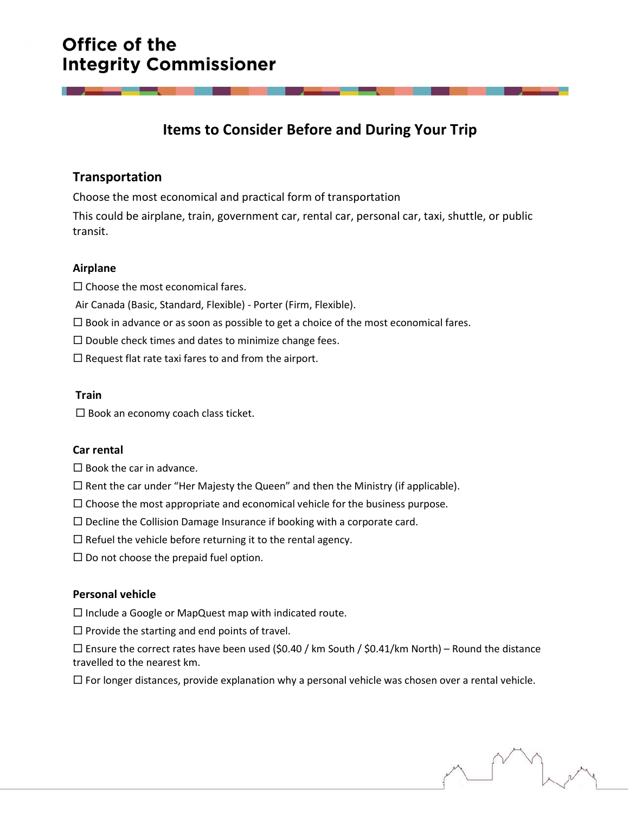# Office of the **Integrity Commissioner**

## Items to Consider Before and During Your Trip

### Transportation

Choose the most economical and practical form of transportation This could be airplane, train, government car, rental car, personal car, taxi, shuttle, or public transit.

#### Airplane

 $\square$  Choose the most economical fares.

Air Canada (Basic, Standard, Flexible) - Porter (Firm, Flexible).

 $\square$  Book in advance or as soon as possible to get a choice of the most economical fares.

 $\square$  Double check times and dates to minimize change fees.

 $\square$  Request flat rate taxi fares to and from the airport.

#### Train

 $\square$  Book an economy coach class ticket.

#### Car rental

 $\square$  Book the car in advance.

 $\Box$  Rent the car under "Her Majesty the Queen" and then the Ministry (if applicable).

 $\Box$  Choose the most appropriate and economical vehicle for the business purpose.

 $\square$  Decline the Collision Damage Insurance if booking with a corporate card.

 $\Box$  Refuel the vehicle before returning it to the rental agency.

 $\square$  Do not choose the prepaid fuel option.

#### Personal vehicle

 $\square$  Include a Google or MapQuest map with indicated route.

 $\square$  Provide the starting and end points of travel.

 $\Box$  Ensure the correct rates have been used (\$0.40 / km South / \$0.41/km North) – Round the distance travelled to the nearest km.

 $\Box$  For longer distances, provide explanation why a personal vehicle was chosen over a rental vehicle.